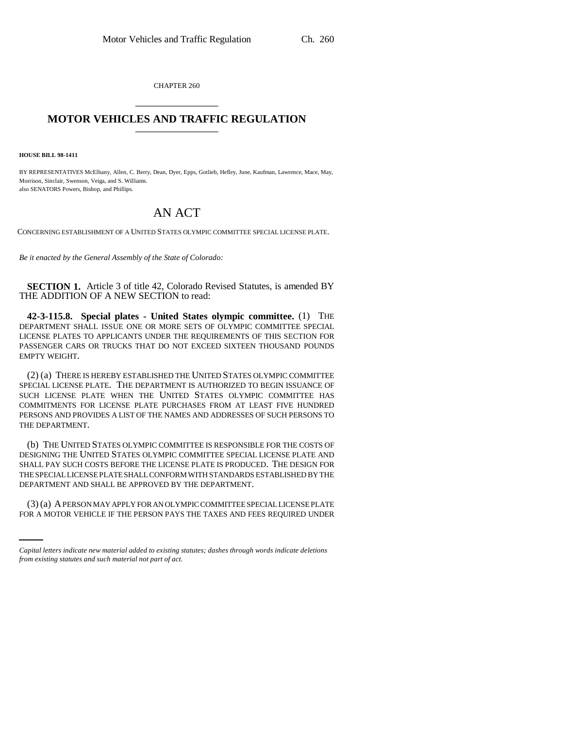CHAPTER 260 \_\_\_\_\_\_\_\_\_\_\_\_\_\_\_

## **MOTOR VEHICLES AND TRAFFIC REGULATION** \_\_\_\_\_\_\_\_\_\_\_\_\_\_\_

**HOUSE BILL 98-1411**

BY REPRESENTATIVES McElhany, Allen, C. Berry, Dean, Dyer, Epps, Gotlieb, Hefley, June, Kaufman, Lawrence, Mace, May, Morrison, Sinclair, Swenson, Veiga, and S. Williams. also SENATORS Powers, Bishop, and Phillips.

## AN ACT

CONCERNING ESTABLISHMENT OF A UNITED STATES OLYMPIC COMMITTEE SPECIAL LICENSE PLATE.

*Be it enacted by the General Assembly of the State of Colorado:*

**SECTION 1.** Article 3 of title 42, Colorado Revised Statutes, is amended BY THE ADDITION OF A NEW SECTION to read:

**42-3-115.8. Special plates - United States olympic committee.** (1) THE DEPARTMENT SHALL ISSUE ONE OR MORE SETS OF OLYMPIC COMMITTEE SPECIAL LICENSE PLATES TO APPLICANTS UNDER THE REQUIREMENTS OF THIS SECTION FOR PASSENGER CARS OR TRUCKS THAT DO NOT EXCEED SIXTEEN THOUSAND POUNDS EMPTY WEIGHT.

(2) (a) THERE IS HEREBY ESTABLISHED THE UNITED STATES OLYMPIC COMMITTEE SPECIAL LICENSE PLATE. THE DEPARTMENT IS AUTHORIZED TO BEGIN ISSUANCE OF SUCH LICENSE PLATE WHEN THE UNITED STATES OLYMPIC COMMITTEE HAS COMMITMENTS FOR LICENSE PLATE PURCHASES FROM AT LEAST FIVE HUNDRED PERSONS AND PROVIDES A LIST OF THE NAMES AND ADDRESSES OF SUCH PERSONS TO THE DEPARTMENT.

(b) THE UNITED STATES OLYMPIC COMMITTEE IS RESPONSIBLE FOR THE COSTS OF DESIGNING THE UNITED STATES OLYMPIC COMMITTEE SPECIAL LICENSE PLATE AND SHALL PAY SUCH COSTS BEFORE THE LICENSE PLATE IS PRODUCED. THE DESIGN FOR THE SPECIAL LICENSE PLATE SHALL CONFORM WITH STANDARDS ESTABLISHED BY THE DEPARTMENT AND SHALL BE APPROVED BY THE DEPARTMENT.

(3) (a) A PERSON MAY APPLY FOR AN OLYMPIC COMMITTEE SPECIAL LICENSE PLATE FOR A MOTOR VEHICLE IF THE PERSON PAYS THE TAXES AND FEES REQUIRED UNDER

*Capital letters indicate new material added to existing statutes; dashes through words indicate deletions from existing statutes and such material not part of act.*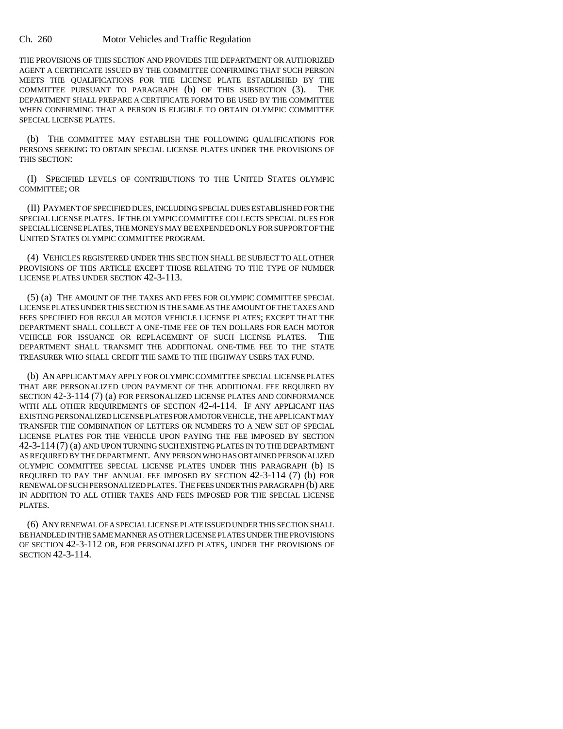Ch. 260 Motor Vehicles and Traffic Regulation

THE PROVISIONS OF THIS SECTION AND PROVIDES THE DEPARTMENT OR AUTHORIZED AGENT A CERTIFICATE ISSUED BY THE COMMITTEE CONFIRMING THAT SUCH PERSON MEETS THE QUALIFICATIONS FOR THE LICENSE PLATE ESTABLISHED BY THE COMMITTEE PURSUANT TO PARAGRAPH (b) OF THIS SUBSECTION (3). THE DEPARTMENT SHALL PREPARE A CERTIFICATE FORM TO BE USED BY THE COMMITTEE WHEN CONFIRMING THAT A PERSON IS ELIGIBLE TO OBTAIN OLYMPIC COMMITTEE SPECIAL LICENSE PLATES.

(b) THE COMMITTEE MAY ESTABLISH THE FOLLOWING QUALIFICATIONS FOR PERSONS SEEKING TO OBTAIN SPECIAL LICENSE PLATES UNDER THE PROVISIONS OF THIS SECTION:

(I) SPECIFIED LEVELS OF CONTRIBUTIONS TO THE UNITED STATES OLYMPIC COMMITTEE; OR

(II) PAYMENT OF SPECIFIED DUES, INCLUDING SPECIAL DUES ESTABLISHED FOR THE SPECIAL LICENSE PLATES. IF THE OLYMPIC COMMITTEE COLLECTS SPECIAL DUES FOR SPECIAL LICENSE PLATES, THE MONEYS MAY BE EXPENDED ONLY FOR SUPPORT OF THE UNITED STATES OLYMPIC COMMITTEE PROGRAM.

(4) VEHICLES REGISTERED UNDER THIS SECTION SHALL BE SUBJECT TO ALL OTHER PROVISIONS OF THIS ARTICLE EXCEPT THOSE RELATING TO THE TYPE OF NUMBER LICENSE PLATES UNDER SECTION 42-3-113.

(5) (a) THE AMOUNT OF THE TAXES AND FEES FOR OLYMPIC COMMITTEE SPECIAL LICENSE PLATES UNDER THIS SECTION IS THE SAME AS THE AMOUNT OF THE TAXES AND FEES SPECIFIED FOR REGULAR MOTOR VEHICLE LICENSE PLATES; EXCEPT THAT THE DEPARTMENT SHALL COLLECT A ONE-TIME FEE OF TEN DOLLARS FOR EACH MOTOR VEHICLE FOR ISSUANCE OR REPLACEMENT OF SUCH LICENSE PLATES. THE DEPARTMENT SHALL TRANSMIT THE ADDITIONAL ONE-TIME FEE TO THE STATE TREASURER WHO SHALL CREDIT THE SAME TO THE HIGHWAY USERS TAX FUND.

(b) AN APPLICANT MAY APPLY FOR OLYMPIC COMMITTEE SPECIAL LICENSE PLATES THAT ARE PERSONALIZED UPON PAYMENT OF THE ADDITIONAL FEE REQUIRED BY SECTION 42-3-114 (7) (a) FOR PERSONALIZED LICENSE PLATES AND CONFORMANCE WITH ALL OTHER REQUIREMENTS OF SECTION 42-4-114. IF ANY APPLICANT HAS EXISTING PERSONALIZED LICENSE PLATES FOR A MOTOR VEHICLE, THE APPLICANT MAY TRANSFER THE COMBINATION OF LETTERS OR NUMBERS TO A NEW SET OF SPECIAL LICENSE PLATES FOR THE VEHICLE UPON PAYING THE FEE IMPOSED BY SECTION 42-3-114 (7) (a) AND UPON TURNING SUCH EXISTING PLATES IN TO THE DEPARTMENT AS REQUIRED BY THE DEPARTMENT. ANY PERSON WHO HAS OBTAINED PERSONALIZED OLYMPIC COMMITTEE SPECIAL LICENSE PLATES UNDER THIS PARAGRAPH (b) IS REQUIRED TO PAY THE ANNUAL FEE IMPOSED BY SECTION 42-3-114 (7) (b) FOR RENEWAL OF SUCH PERSONALIZED PLATES. THE FEES UNDER THIS PARAGRAPH (b) ARE IN ADDITION TO ALL OTHER TAXES AND FEES IMPOSED FOR THE SPECIAL LICENSE PLATES.

(6) ANY RENEWAL OF A SPECIAL LICENSE PLATE ISSUED UNDER THIS SECTION SHALL BE HANDLED IN THE SAME MANNER AS OTHER LICENSE PLATES UNDER THE PROVISIONS OF SECTION 42-3-112 OR, FOR PERSONALIZED PLATES, UNDER THE PROVISIONS OF SECTION 42-3-114.